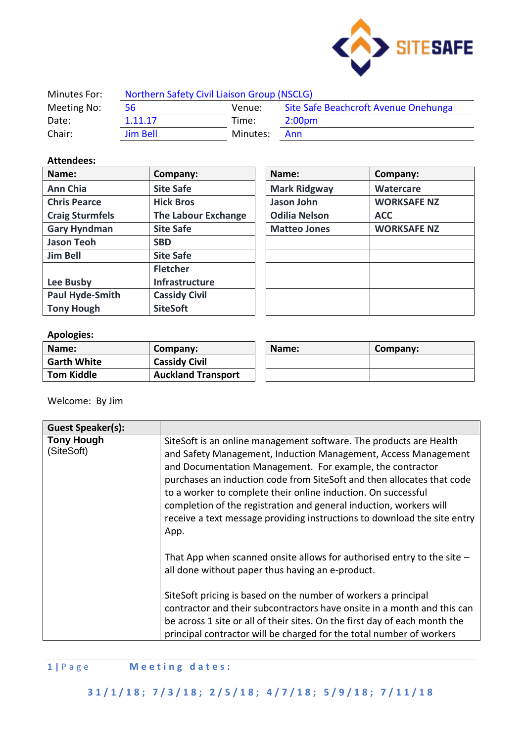

| Minutes For: | Northern Safety Civil Liaison Group (NSCLG) |          |                                      |
|--------------|---------------------------------------------|----------|--------------------------------------|
| Meeting No:  | 56                                          | Venue:   | Site Safe Beachcroft Avenue Onehunga |
| Date:        | 1.11.17                                     | Time:    | 2:00 <sub>pm</sub>                   |
| Chair:       | <b>Jim Bell</b>                             | Minutes: | Ann                                  |

#### **Attendees:**

| Name:                  | Company:                   | Name:                | Company:           |
|------------------------|----------------------------|----------------------|--------------------|
| <b>Ann Chia</b>        | <b>Site Safe</b>           | <b>Mark Ridgway</b>  | Watercare          |
| <b>Chris Pearce</b>    | <b>Hick Bros</b>           | Jason John           | <b>WORKSAFE NZ</b> |
| <b>Craig Sturmfels</b> | <b>The Labour Exchange</b> | <b>Odilia Nelson</b> | <b>ACC</b>         |
| <b>Gary Hyndman</b>    | <b>Site Safe</b>           | <b>Matteo Jones</b>  | <b>WORKSAFE NZ</b> |
| <b>Jason Teoh</b>      | <b>SBD</b>                 |                      |                    |
| <b>Jim Bell</b>        | <b>Site Safe</b>           |                      |                    |
|                        | <b>Fletcher</b>            |                      |                    |
| Lee Busby              | <b>Infrastructure</b>      |                      |                    |
| <b>Paul Hyde-Smith</b> | <b>Cassidy Civil</b>       |                      |                    |
| <b>Tony Hough</b>      | <b>SiteSoft</b>            |                      |                    |

| Name:                | Company:           |
|----------------------|--------------------|
| <b>Mark Ridgway</b>  | <b>Watercare</b>   |
| Jason John           | <b>WORKSAFE NZ</b> |
| <b>Odilia Nelson</b> | <b>ACC</b>         |
| <b>Matteo Jones</b>  | <b>WORKSAFE NZ</b> |
|                      |                    |
|                      |                    |
|                      |                    |
|                      |                    |
|                      |                    |
|                      |                    |

## **Apologies:**

| Name:              | Company:                  | Name: | Company: |
|--------------------|---------------------------|-------|----------|
| <b>Garth White</b> | <b>Cassidy Civil</b>      |       |          |
| <b>Tom Kiddle</b>  | <b>Auckland Transport</b> |       |          |

Welcome: By Jim

| SiteSoft is an online management software. The products are Health<br>and Safety Management, Induction Management, Access Management<br>and Documentation Management. For example, the contractor<br>purchases an induction code from SiteSoft and then allocates that code<br>to a worker to complete their online induction. On successful<br>completion of the registration and general induction, workers will<br>receive a text message providing instructions to download the site entry<br>App. |
|--------------------------------------------------------------------------------------------------------------------------------------------------------------------------------------------------------------------------------------------------------------------------------------------------------------------------------------------------------------------------------------------------------------------------------------------------------------------------------------------------------|
| That App when scanned onsite allows for authorised entry to the site $-$<br>all done without paper thus having an e-product.<br>SiteSoft pricing is based on the number of workers a principal<br>contractor and their subcontractors have onsite in a month and this can<br>be across 1 site or all of their sites. On the first day of each month the<br>principal contractor will be charged for the total number of workers                                                                        |
|                                                                                                                                                                                                                                                                                                                                                                                                                                                                                                        |

# **1 |** P a g e **M e e t i n g d a t e s :**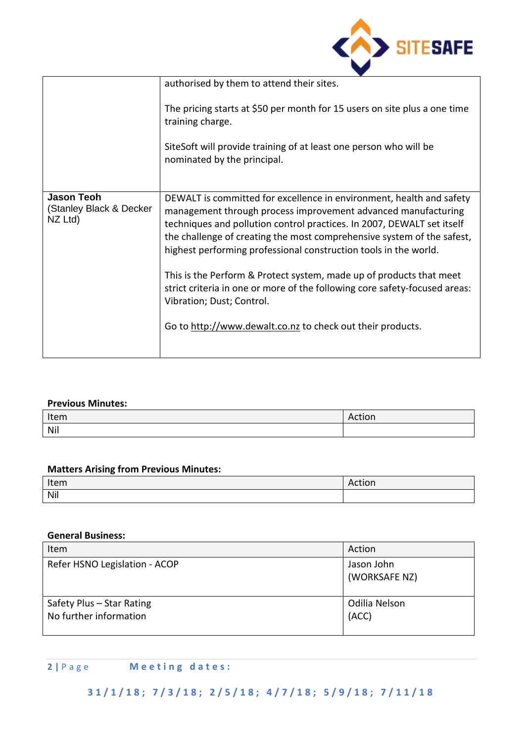

|                                                         | authorised by them to attend their sites.                                                                                                                                                                                                                                                                                                                                                                                                                                                                                                                                                                     |
|---------------------------------------------------------|---------------------------------------------------------------------------------------------------------------------------------------------------------------------------------------------------------------------------------------------------------------------------------------------------------------------------------------------------------------------------------------------------------------------------------------------------------------------------------------------------------------------------------------------------------------------------------------------------------------|
|                                                         | The pricing starts at \$50 per month for 15 users on site plus a one time<br>training charge.                                                                                                                                                                                                                                                                                                                                                                                                                                                                                                                 |
|                                                         | SiteSoft will provide training of at least one person who will be<br>nominated by the principal.                                                                                                                                                                                                                                                                                                                                                                                                                                                                                                              |
| <b>Jason Teoh</b><br>(Stanley Black & Decker<br>NZ Ltd) | DEWALT is committed for excellence in environment, health and safety<br>management through process improvement advanced manufacturing<br>techniques and pollution control practices. In 2007, DEWALT set itself<br>the challenge of creating the most comprehensive system of the safest,<br>highest performing professional construction tools in the world.<br>This is the Perform & Protect system, made up of products that meet<br>strict criteria in one or more of the following core safety-focused areas:<br>Vibration; Dust; Control.<br>Go to http://www.dewalt.co.nz to check out their products. |

#### **Previous Minutes:**

| Item | $\cdots$<br>ACLIUIT |
|------|---------------------|
| Nil  |                     |

## **Matters Arising from Previous Minutes:**

| Item | $ -$<br>יישו |
|------|--------------|
| Nil  |              |

#### **General Business:**

| Item                                                | Action                      |
|-----------------------------------------------------|-----------------------------|
| Refer HSNO Legislation - ACOP                       | Jason John<br>(WORKSAFE NZ) |
| Safety Plus - Star Rating<br>No further information | Odilia Nelson<br>(ACC)      |

## **2 |** P a g e **M e e t i n g d a t e s :**